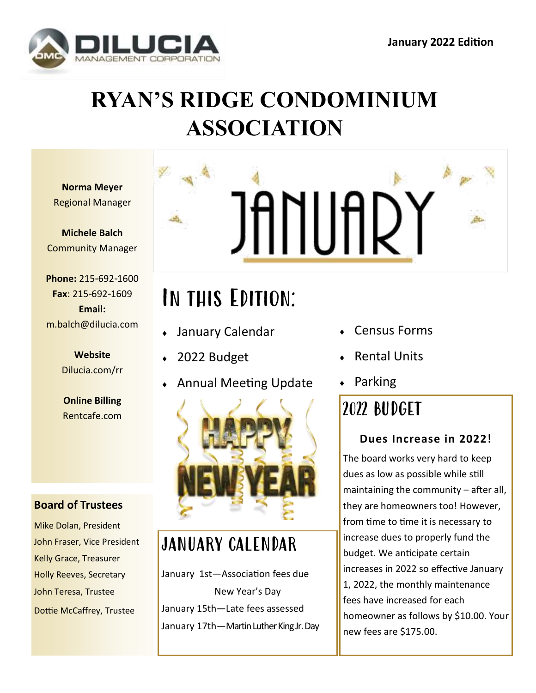

## **RYAN'S RIDGE CONDOMINIUM ASSOCIATION**

**Norma Meyer** Regional Manager

**Michele Balch** Community Manager

**Phone:** 215-692-1600 **Fax**: 215-692-1609 **Email:** m.balch@dilucia.com

> **Website** Dilucia.com/rr

> **Online Billing** Rentcafe.com

#### **Board of Trustees**

Mike Dolan, President John Fraser, Vice President Kelly Grace, Treasurer Holly Reeves, Secretary John Teresa, Trustee Dottie McCaffrey, Trustee



# In this Edition:

- January Calendar
- 2022 Budget
- Annual Meeting Update



#### JANUARY CALENDAR

January 1st—Association fees due New Year's Day January 15th—Late fees assessed January 17th—Martin Luther King Jr. Day

- Census Forms
- Rental Units
- Parking

## 2022 BUDGET

#### **Dues Increase in 2022!**

The board works very hard to keep dues as low as possible while still maintaining the community – after all, they are homeowners too! However, from time to time it is necessary to increase dues to properly fund the budget. We anticipate certain increases in 2022 so effective January 1, 2022, the monthly maintenance fees have increased for each homeowner as follows by \$10.00. Your new fees are \$175.00.